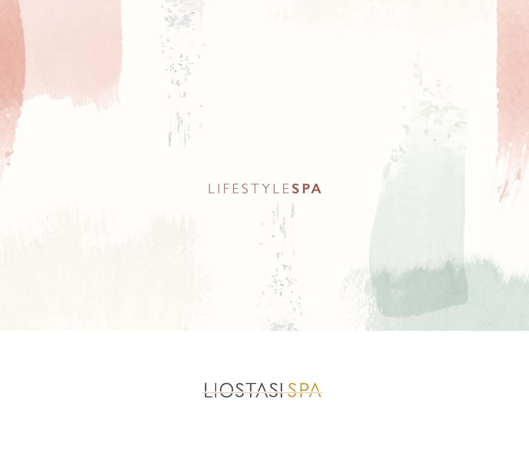

# LIOSTASISPA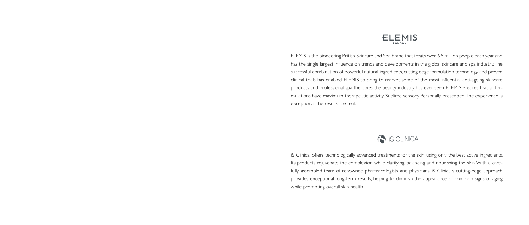

ELEMIS is the pioneering British Skincare and Spa brand that treats over 6.5 million people each year and has the single largest influence on trends and developments in the global skincare and spa industry. The successful combination of powerful natural ingredients, cutting edge formulation technology and proven clinical trials has enabled ELEMIS to bring to market some of the most influential anti-ageing skincare products and professional spa therapies the beauty industry has ever seen. ELEMIS ensures that all formulations have maximum therapeutic activity. Sublime sensory. Personally prescribed. The experience is exceptional; the results are real.



iS Clinical offers technologically advanced treatments for the skin, using only the best active ingredients. Its products rejuvenate the complexion while clarifying, balancing and nourishing the skin. With a carefully assembled team of renowned pharmacologists and physicians, iS Clinical's cutting-edge approach provides exceptional long-term results, helping to diminish the appearance of common signs of aging while promoting overall skin health.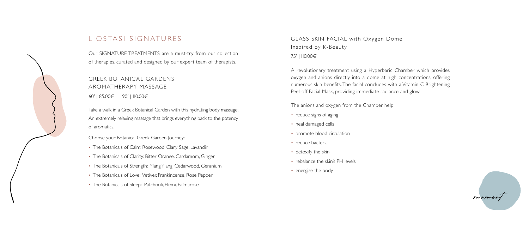## LIOSTASI SIGNATURES

Our SIGNATURE TREATMENTS are a must-try from our collection of therapies, curated and designed by our expert team of therapists.

### GREEK BOTANICAL GARDENS AROMATHERAPY MASSAGE 60' | 85.00€ 90' | 110.00€

Take a walk in a Greek Botanical Garden with this hydrating body massage. An extremely relaxing massage that brings everything back to the potency of aromatics.

Choose your Botanical Greek Garden Journey:

- The Botanicals of Calm: Rosewood, Clary Sage, Lavandin
- The Botanicals of Clarity: Bitter Orange, Cardamom, Ginger
- The Botanicals of Strength: Ylang Ylang, Cedarwood, Geranium
- The Botanicals of Love: Vetiver, Frankincense, Rose Pepper
- The Botanicals of Sleep: Patchouli, Elemi, Palmarose
- reduce signs of aging
- heal damaged cells
- promote blood circulation
- reduce bacteria
- detoxify the skin
- rebalance the skin's PH levels
- energize the body



GLASS SKIN FACIAL with Oxygen Dome Inspired by K-Beauty 75' | 110.00€

A revolutionary treatment using a Hyperbaric Chamber which provides oxygen and anions directly into a dome at high concentrations, offering numerous skin benefits. The facial concludes with a Vitamin C Brightening Peel-off Facial Mask, providing immediate radiance and glow.

The anions and oxygen from the Chamber help: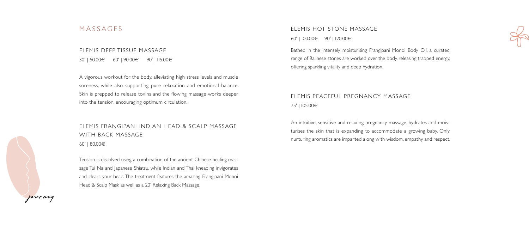#### MASSAGES

### ELEMIS DEEP TISSUE MASSAGE 30' | 50.00€ 60' | 90.00€ 90' | 115.00€

A vigorous workout for the body, alleviating high stress levels and muscle soreness, while also supporting pure relaxation and emotional balance. Skin is prepped to release toxins and the flowing massage works deeper into the tension, encouraging optimum circulation.

### ELEMIS FRANGIPANI INDIAN HEAD & SCALP MASSAGE WITH BACK MASSAGE 60' | 80.00€

Tension is dissolved using a combination of the ancient Chinese healing massage Tui Na and Japanese Shiatsu, while Indian and Thai kneading invigorates and clears your head. The treatment features the amazing Frangipani Monoi Head & Scalp Mask as well as a 20' Relaxing Back Massage.

# ELEMIS HOT STONE MASSAGE

60' | 100.00€ 90' | 120.00€

Bathed in the intensely moisturising Frangipani Monoi Body Oil, a curated range of Balinese stones are worked over the body, releasing trapped energy, offering sparkling vitality and deep hydration.

### ELEMIS PEACEFUL PREGNANCY MASSAGE 75' | 105.00€

An intuitive, sensitive and relaxing pregnancy massage, hydrates and moisturises the skin that is expanding to accommodate a growing baby. Only nurturing aromatics are imparted along with wisdom, empathy and respect.



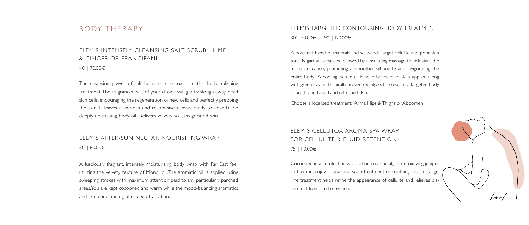#### BODY THERAPY

#### ELEMIS INTENSELY CLEANSING SALT SCRUB - LIME & GINGER OR FRANGIPANI 40' | 70.00€

The cleansing power of salt helps release toxins in this body-polishing treatment. The fragranced salt of your choice will gently slough away dead skin cells, encouraging the regeneration of new cells and perfectly prepping the skin. It leaves a smooth and responsive canvas, ready to absorb the deeply nourishing body oil. Delivers velvety soft, invigorated skin.

### ELEMIS AFTER-SUN NECTAR NOURISHING WRAP 60' | 80.00€

A lusciously fragrant, intensely moisturising body wrap with Far East feel, utilizing the velvety texture of Monoi oil.The aromatic oil is applied using sweeping strokes with maximum attention paid to any particularly parched areas. You are kept cocooned and warm while the mood-balancing aromatics and skin conditioning offer deep hydration.

ELEMIS TARGETED CONTOURING BODY TREATMENT 30' | 70.00€ 90' | 120.00€

A powerful blend of minerals and seaweeds target cellulite and poor skin tone. Nigari salt cleanses, followed by a sculpting massage to kick start the micro-circulation, promoting a smoother silhouette and invigorating the entire body. A cooling, rich in caffeine, rubberised mask is applied along with green clay and clinically proven red algae. The result is a targeted body airbrush and toned and refreshed skin.

Choose a localised treatment: Arms, Hips & Thighs or Abdomen

### ELEMIS CELLUTOX AROMA SPA WRAP FOR CELLULITE & FLUID RETENTION 75' | 110.00€

Cocooned in a comforting wrap of rich marine algae, detoxifying juniper and lemon, enjoy a facial and scalp treatment or soothing foot massage. The treatment helps refine the appearance of cellulite and relieves discomfort from fluid retention.

- 
- 
- 
- 
- 

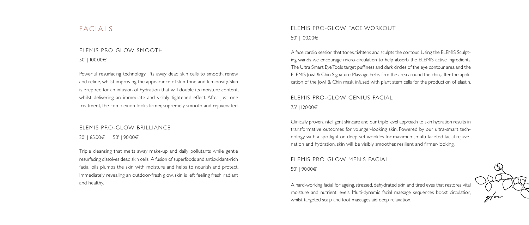#### FACIALS

# ELEMIS PRO-GLOW SMOOTH

50' | 100.00€

Powerful resurfacing technology lifts away dead skin cells to smooth, renew and refine, whilst improving the appearance of skin tone and luminosity. Skin is prepped for an infusion of hydration that will double its moisture content, whilst delivering an immediate and visibly tightened effect. After just one treatment, the complexion looks firmer, supremely smooth and rejuvenated.

#### ELEMIS PRO-GLOW BRILLIANCE

30' | 65.00€ 50' | 90.00€

Triple cleansing that melts away make-up and daily pollutants while gentle resurfacing dissolves dead skin cells. A fusion of superfoods and antioxidant-rich facial oils plumps the skin with moisture and helps to nourish and protect. Immediately revealing an outdoor-fresh glow, skin is left feeling fresh, radiant and healthy.

#### ELEMIS PRO-GLOW FACE WORKOUT 50' | 100.00€

A face cardio session that tones, tightens and sculpts the contour. Using the ELEMIS Sculpting wands we encourage micro-circulation to help absorb the ELEMIS active ingredients. The Ultra Smart Eye Tools target puffiness and dark circles of the eye contour area and the ELEMIS Jowl & Chin Signature Massage helps firm the area around the chin, after the application of the Jowl & Chin mask, infused with plant stem cells for the production of elastin.

### ELEMIS PRO-GLOW GENIUS FACIAL 75' | 120.00€

Clinically proven, intelligent skincare and our triple level approach to skin hydration results in transformative outcomes for younger-looking skin. Powered by our ultra-smart technology, with a spotlight on deep-set wrinkles for maximum, multi-faceted facial rejuvenation and hydration, skin will be visibly smoother, resilient and firmer-looking.

### ELEMIS PRO-GLOW MEN'S FACIAL 50' | 90.00€

A hard-working facial for ageing, stressed, dehydrated skin and tired eyes that restores vital moisture and nutrient levels. Multi-dynamic facial massage sequences boost circulation, whilst targeted scalp and foot massages aid deep relaxation.

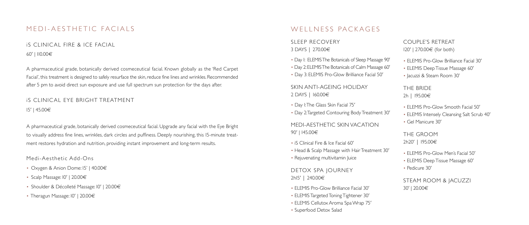### MEDI-AESTHETIC FACIALS

### iS CLINICAL FIRE & ICE FACIAL 60' | 110.00€

A pharmaceutical grade, botanically derived cosmeceutical facial. Known globally as the 'Red Carpet Facial', this treatment is designed to safely resurface the skin, reduce fine lines and wrinkles. Recommended after 5 pm to avoid direct sun exposure and use full spectrum sun protection for the days after.

- Oxygen & Anion Dome: 15' | 40.00€
- Scalp Massage: 10' | 20.00€
- Shoulder & Décolleté Massage: 10' | 20.00€
- Theragun Massage:  $10'$  | 20.00 $\in$

### WELLNESS PACKAGES

### iS CLINIC AL EYE BRIGHT TREATMENT 15' | 45.00€

A pharmaceutical grade, botanically derived cosmeceutical facial. Upgrade any facial with the Eye Bright to visually address fine lines, wrinkles, dark circles and puffiness. Deeply nourishing, this 15-minute treatment restores hydration and nutrition, providing instant improvement and long-term results.

Medi-Aesthetic Add-Ons

| SLEEP RECOVERY<br>3 DAYS   270.00€                                                                                                                          | <b>COUPL</b><br>$120'$   270      |
|-------------------------------------------------------------------------------------------------------------------------------------------------------------|-----------------------------------|
| • Day I: ELEMIS The Botanicals of Sleep Massage 90'<br>· Day 2: ELEMIS The Botanicals of Calm Massage 60'<br>• Day 3: ELEMIS Pro-Glow Brilliance Facial 50' | • ELEMIS<br>• ELEMIS<br>• acuzzi  |
| SKIN ANTI-AGEING HOLIDAY<br>2 DAYS   I60.00€                                                                                                                | THE BF<br>2h   195.               |
| • Day I: The Glass Skin Facial 75'<br>• Day 2: Targeted Contouring Body Treatment 30'                                                                       | • ELEMIS<br>• ELEMIS              |
| MEDI-AESTHETIC SKIN VACATION<br>90'   I45.00€                                                                                                               | • Gel Ma<br><b>THE GI</b>         |
| • iS Clinical Fire & Ice Facial 60'<br>• Head & Scalp Massage with Hair Treatment 30'<br>• Rejuvenating multivitamin Juice                                  | 2h20'    <br>• ELEMIS<br>• ELEMIS |
| DETOX SPA JOURNEY<br>2hl5'   240.00€                                                                                                                        | • Pedicur<br><b>STEAM</b>         |
| • ELEMIS Pro-Glow Brilliance Facial 30'<br>• ELEMIS Targeted Toning Tightener 30'<br>• ELEMIS Cellutox Aroma Spa Wrap 75'<br>• Superfood Detox Salad        | $30'$   20.0                      |

**F'S RETREAT**  $10.00 \in$  (for both)

Pro-Glow Brilliance Facial 30' b Deep Tissue Massage 60' & Steam Room 30'

RIDE  $5.00<sub>ε</sub>$ 

Pro-Glow Smooth Facial 50' Intensely Cleansing Salt Scrub 40' anicure 30'

ROOM 195.00€

 $6$  Pro-Glow Men's Facial 50' b Deep Tissue Massage 60' re 30'

ROOM & JACUZZI )∩€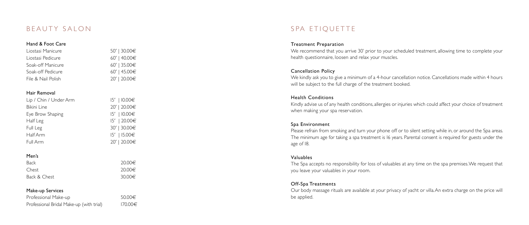### BEAUTY SALON

#### Hand & Foot Care

| Liostasi Manicure  | 50'   30.00€   |
|--------------------|----------------|
| Liostasi Pedicure  | 60'   40.00€   |
| Soak-off Manicure  | $60'$   35.00€ |
| Soak-off Pedicure  | 60'   45.00€   |
| File & Nail Polish | 20'   20.00€   |

#### Hair Removal

| Lip / Chin / Under Arm | $15'$   $10.00€$ |
|------------------------|------------------|
| Bikini Line            | 20'   20.00€     |
| Eye Brow Shaping       | $15'$   $10.00€$ |
| Half Leg               | 15'   20.00€     |
| Full Leg               | 30'   30.00€     |
| Half Arm               | $15'$   $15.00€$ |
| Full Arm               | 20'   20.00€     |

#### Men's

| <b>Back</b>  | 20.00€      |
|--------------|-------------|
| Chest        | 20.00€      |
| Back & Chest | 30.00 $\in$ |

#### Make-up Services

| Professional Make-up                     | 50.00€  |
|------------------------------------------|---------|
| Professional Bridal Make-up (with trial) | 170.00€ |

SPA ETIOUETTE

#### Treatment Preparation

We recommend that you arrive 30' prior to your scheduled treatment, allowing time to complete your health questionnaire, loosen and relax your muscles.

#### Cancellation Policy

We kindly ask you to give a minimum of a 4-hour cancellation notice. Cancellations made within 4 hours will be subject to the full charge of the treatment booked.

#### Health Conditions

Kindly advise us of any health conditions, allergies or injuries which could affect your choice of treatment when making your spa reservation.

#### Spa Environment

Please refrain from smoking and turn your phone off or to silent setting while in, or around the Spa areas. The minimum age for taking a spa treatment is 16 years. Parental consent is required for guests under the age of 18.

#### Valuables

The Spa accepts no responsibility for loss of valuables at any time on the spa premises. We request that you leave your valuables in your room.

#### Off-Spa Treatments

Our body massage rituals are available at your privacy of yacht or villa. An extra charge on the price will be applied.